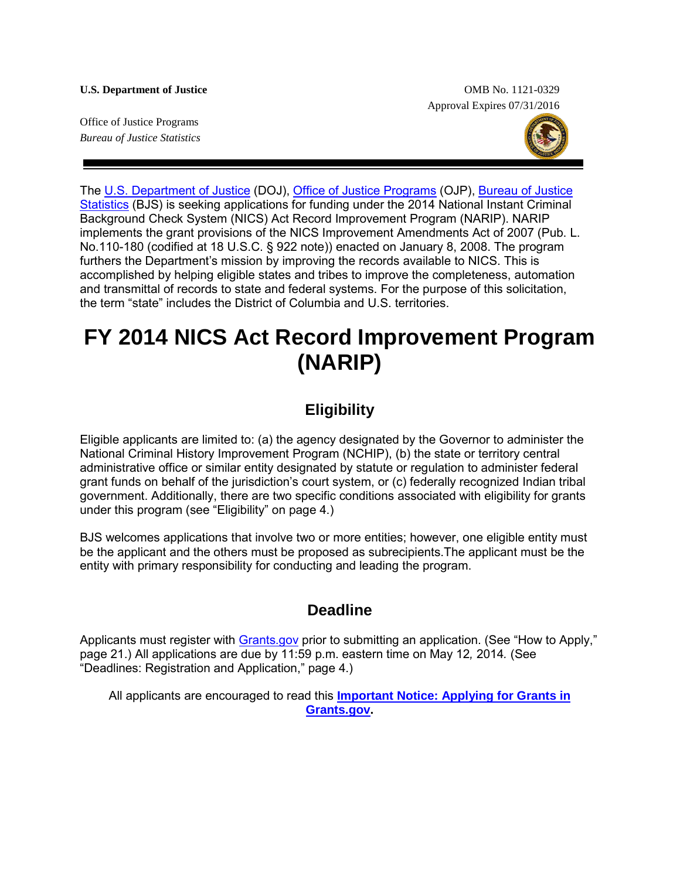**U.S. Department of Justice** OMB No. 1121-0329 Approval Expires 07/31/2016

Office of Justice Programs *Bureau of Justice Statistics*



The [U.S. Department of Justice](http://www.usdoj.gov/) (DOJ), [Office of Justice Programs](http://www.ojp.usdoj.gov/) (OJP), [Bureau of Justice](http://www.bjs.gov/)  [Statistics](http://www.bjs.gov/) (BJS) is seeking applications for funding under the 2014 National Instant Criminal Background Check System (NICS) Act Record Improvement Program (NARIP). NARIP implements the grant provisions of the NICS Improvement Amendments Act of 2007 (Pub. L. No.110-180 (codified at 18 U.S.C. § 922 note)) enacted on January 8, 2008. The program furthers the Department's mission by improving the records available to NICS. This is accomplished by helping eligible states and tribes to improve the completeness, automation and transmittal of records to state and federal systems. For the purpose of this solicitation, the term "state" includes the District of Columbia and U.S. territories.

# **FY 2014 NICS Act Record Improvement Program (NARIP)**

### **Eligibility**

Eligible applicants are limited to: (a) the agency designated by the Governor to administer the National Criminal History Improvement Program (NCHIP), (b) the state or territory central administrative office or similar entity designated by statute or regulation to administer federal grant funds on behalf of the jurisdiction's court system, or (c) federally recognized Indian tribal government. Additionally, there are two specific conditions associated with eligibility for grants under this program (see "Eligibility" on page 4.)

BJS welcomes applications that involve two or more entities; however, one eligible entity must be the applicant and the others must be proposed as subrecipients.The applicant must be the entity with primary responsibility for conducting and leading the program.

### **Deadline**

Applicants must register with **Grants.gov** prior to submitting an application. (See "How to Apply," page 21.) All applications are due by 11:59 p.m. eastern time on May 12*,* 2014*.* (See "Deadlines: Registration and Application," page 4.)

All applicants are encouraged to read this **[Important Notice: Applying for Grants in](http://www.ojp.usdoj.gov/funding/grantsgov_information.htm)  [Grants.gov.](http://www.ojp.usdoj.gov/funding/grantsgov_information.htm)**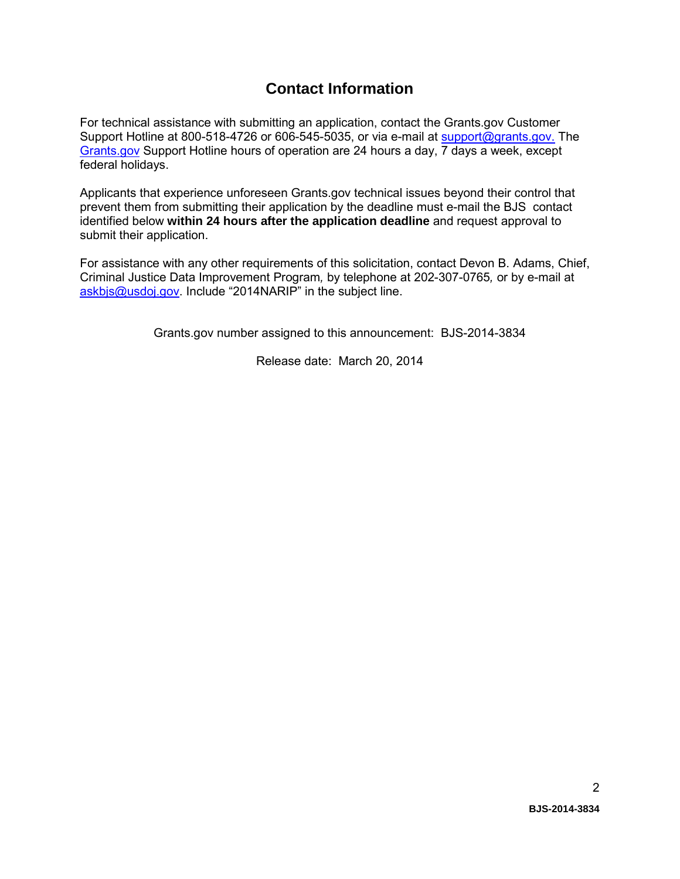### **Contact Information**

For technical assistance with submitting an application, contact the Grants.gov Customer Support Hotline at 800-518-4726 or 606-545-5035, or via e-mail at [support@grants.gov.](mailto:support@grants.gov) The [Grants.gov](http://www.grants.gov/applicants/apply_for_grants.jsp) Support Hotline hours of operation are 24 hours a day, 7 days a week, except federal holidays.

Applicants that experience unforeseen Grants.gov technical issues beyond their control that prevent them from submitting their application by the deadline must e-mail the BJScontact identified below **within 24 hours after the application deadline** and request approval to submit their application.

For assistance with any other requirements of this solicitation, contact Devon B. Adams, Chief, Criminal Justice Data Improvement Program*,* by telephone at 202-307-0765*,* or by e-mail at [askbjs@usdoj.gov.](mailto:askbjs@usdoj.gov?subject=2014NARIP) Include "2014NARIP" in the subject line.

Grants.gov number assigned to this announcement: BJS-2014-3834

Release date: March 20, 2014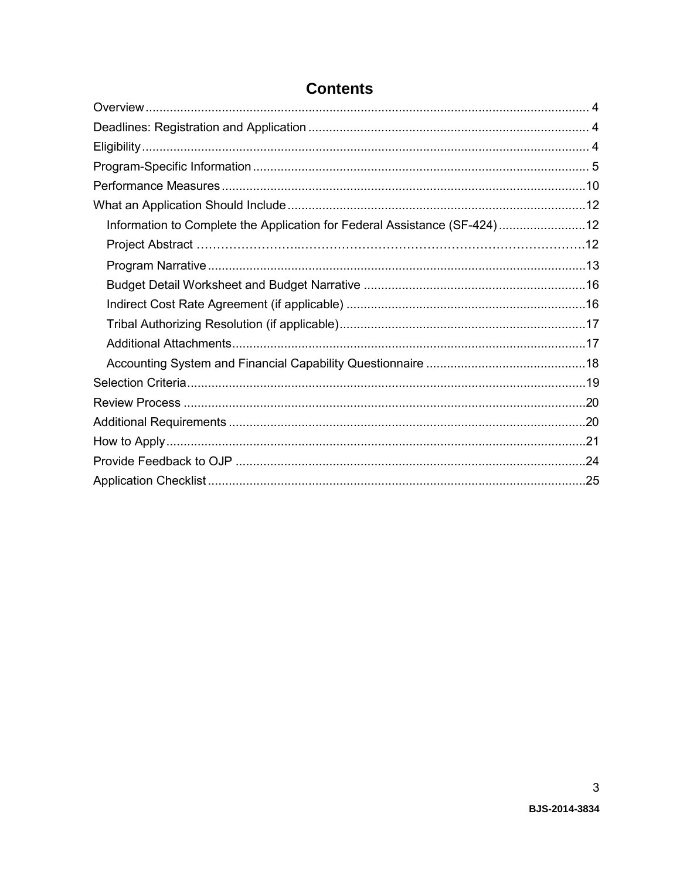| Information to Complete the Application for Federal Assistance (SF-424)12 |  |
|---------------------------------------------------------------------------|--|
|                                                                           |  |
|                                                                           |  |
|                                                                           |  |
|                                                                           |  |
|                                                                           |  |
|                                                                           |  |
|                                                                           |  |
|                                                                           |  |
|                                                                           |  |
|                                                                           |  |
|                                                                           |  |
|                                                                           |  |
|                                                                           |  |

### **Contents**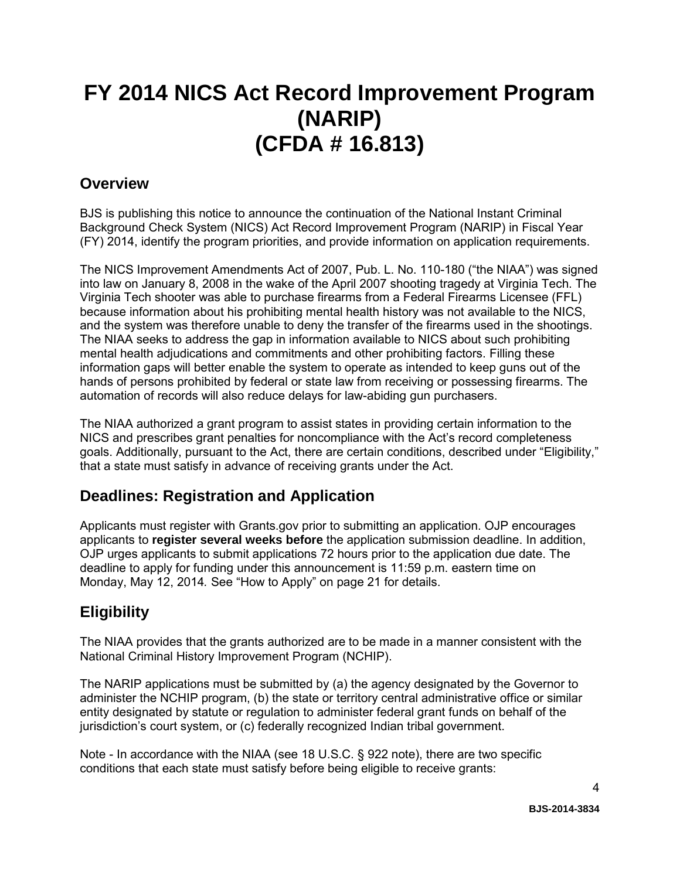# **FY 2014 NICS Act Record Improvement Program (NARIP) (CFDA # 16.813)**

### <span id="page-3-0"></span>**Overview**

BJS is publishing this notice to announce the continuation of the National Instant Criminal Background Check System (NICS) Act Record Improvement Program (NARIP) in Fiscal Year (FY) 2014, identify the program priorities, and provide information on application requirements.

The NICS Improvement Amendments Act of 2007, Pub. L. No. 110-180 ("the NIAA") was signed into law on January 8, 2008 in the wake of the April 2007 shooting tragedy at Virginia Tech. The Virginia Tech shooter was able to purchase firearms from a Federal Firearms Licensee (FFL) because information about his prohibiting mental health history was not available to the NICS, and the system was therefore unable to deny the transfer of the firearms used in the shootings. The NIAA seeks to address the gap in information available to NICS about such prohibiting mental health adjudications and commitments and other prohibiting factors. Filling these information gaps will better enable the system to operate as intended to keep guns out of the hands of persons prohibited by federal or state law from receiving or possessing firearms. The automation of records will also reduce delays for law-abiding gun purchasers.

The NIAA authorized a grant program to assist states in providing certain information to the NICS and prescribes grant penalties for noncompliance with the Act's record completeness goals. Additionally, pursuant to the Act, there are certain conditions, described under "Eligibility," that a state must satisfy in advance of receiving grants under the Act.

### <span id="page-3-1"></span>**Deadlines: Registration and Application**

Applicants must register with Grants.gov prior to submitting an application. OJP encourages applicants to **register several weeks before** the application submission deadline. In addition, OJP urges applicants to submit applications 72 hours prior to the application due date. The deadline to apply for funding under this announcement is 11:59 p.m. eastern time on Monday, May 12, 2014*.* See "How to Apply" on page 21 for details.

## <span id="page-3-2"></span>**Eligibility**

The NIAA provides that the grants authorized are to be made in a manner consistent with the National Criminal History Improvement Program (NCHIP).

The NARIP applications must be submitted by (a) the agency designated by the Governor to administer the NCHIP program, (b) the state or territory central administrative office or similar entity designated by statute or regulation to administer federal grant funds on behalf of the jurisdiction's court system, or (c) federally recognized Indian tribal government.

Note - In accordance with the NIAA (see 18 U.S.C. § 922 note), there are two specific conditions that each state must satisfy before being eligible to receive grants: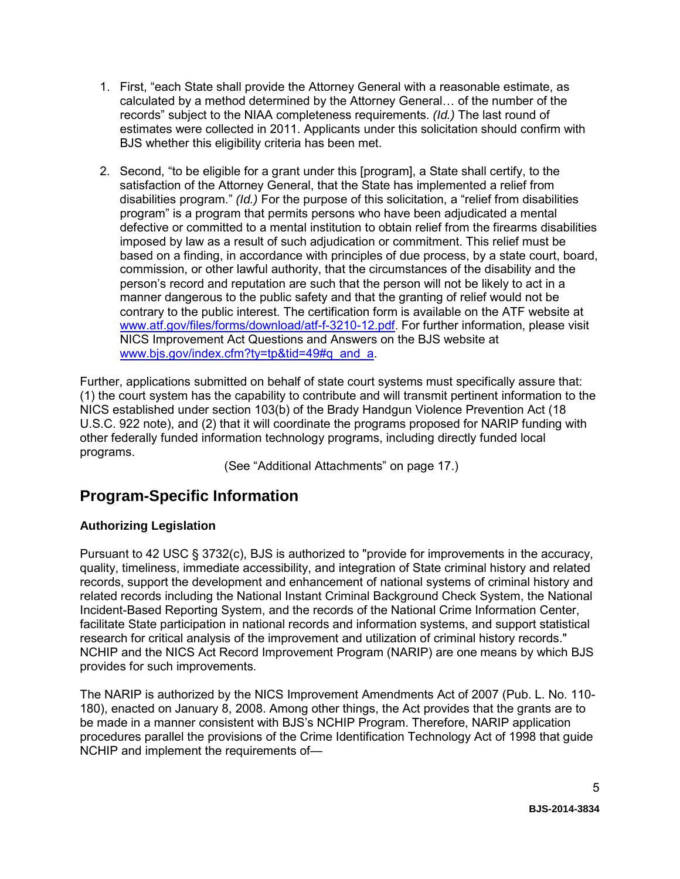- 1. First, "each State shall provide the Attorney General with a reasonable estimate, as calculated by a method determined by the Attorney General… of the number of the records" subject to the NIAA completeness requirements. *(Id.)* The last round of estimates were collected in 2011. Applicants under this solicitation should confirm with BJS whether this eligibility criteria has been met.
- 2. Second, "to be eligible for a grant under this [program], a State shall certify, to the satisfaction of the Attorney General, that the State has implemented a relief from disabilities program." *(Id.)* For the purpose of this solicitation, a "relief from disabilities program" is a program that permits persons who have been adjudicated a mental defective or committed to a mental institution to obtain relief from the firearms disabilities imposed by law as a result of such adjudication or commitment. This relief must be based on a finding, in accordance with principles of due process, by a state court, board, commission, or other lawful authority, that the circumstances of the disability and the person's record and reputation are such that the person will not be likely to act in a manner dangerous to the public safety and that the granting of relief would not be contrary to the public interest. The certification form is available on the ATF website at [www.atf.gov/files/forms/download/atf-f-3210-12.pdf.](http://www.atf.gov/files/forms/download/atf-f-3210-12.pdf) For further information, please visit NICS Improvement Act Questions and Answers on the BJS website at [www.bjs.gov/index.cfm?ty=tp&tid=49#q\\_and\\_a.](http://www.bjs.gov/index.cfm?ty=tp&tid=49#q_and_a)

Further, applications submitted on behalf of state court systems must specifically assure that: (1) the court system has the capability to contribute and will transmit pertinent information to the NICS established under section 103(b) of the Brady Handgun Violence Prevention Act (18 U.S.C. 922 note), and (2) that it will coordinate the programs proposed for NARIP funding with other federally funded information technology programs, including directly funded local programs.

(See "Additional Attachments" on page 17.)

### <span id="page-4-0"></span>**Program-Specific Information**

#### **Authorizing Legislation**

Pursuant to 42 USC § 3732(c), BJS is authorized to "provide for improvements in the accuracy, quality, timeliness, immediate accessibility, and integration of State criminal history and related records, support the development and enhancement of national systems of criminal history and related records including the National Instant Criminal Background Check System, the National Incident-Based Reporting System, and the records of the National Crime Information Center, facilitate State participation in national records and information systems, and support statistical research for critical analysis of the improvement and utilization of criminal history records." NCHIP and the NICS Act Record Improvement Program (NARIP) are one means by which BJS provides for such improvements.

The NARIP is authorized by the NICS Improvement Amendments Act of 2007 (Pub. L. No. 110- 180), enacted on January 8, 2008. Among other things, the Act provides that the grants are to be made in a manner consistent with BJS's NCHIP Program. Therefore, NARIP application procedures parallel the provisions of the Crime Identification Technology Act of 1998 that guide NCHIP and implement the requirements of—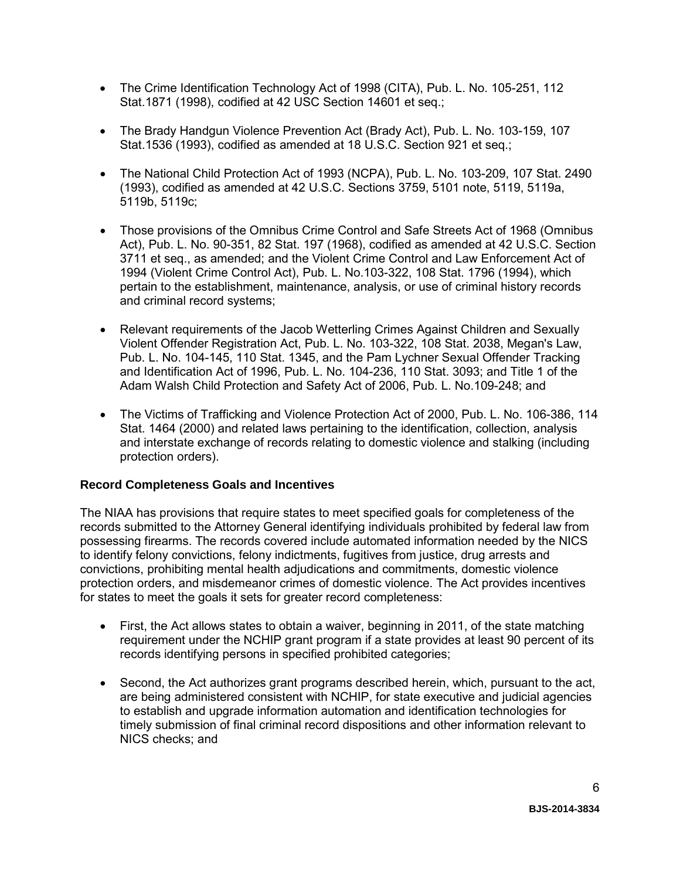- The Crime Identification Technology Act of 1998 (CITA), Pub. L. No. 105-251, 112 Stat.1871 (1998), codified at 42 USC Section 14601 et seq.;
- The Brady Handgun Violence Prevention Act (Brady Act), Pub. L. No. 103-159, 107 Stat.1536 (1993), codified as amended at 18 U.S.C. Section 921 et seq.;
- The National Child Protection Act of 1993 (NCPA), Pub. L. No. 103-209, 107 Stat. 2490 (1993), codified as amended at 42 U.S.C. Sections 3759, 5101 note, 5119, 5119a, 5119b, 5119c;
- Those provisions of the Omnibus Crime Control and Safe Streets Act of 1968 (Omnibus Act), Pub. L. No. 90-351, 82 Stat. 197 (1968), codified as amended at 42 U.S.C. Section 3711 et seq., as amended; and the Violent Crime Control and Law Enforcement Act of 1994 (Violent Crime Control Act), Pub. L. No.103-322, 108 Stat. 1796 (1994), which pertain to the establishment, maintenance, analysis, or use of criminal history records and criminal record systems;
- Relevant requirements of the Jacob Wetterling Crimes Against Children and Sexually Violent Offender Registration Act, Pub. L. No. 103-322, 108 Stat. 2038, Megan's Law, Pub. L. No. 104-145, 110 Stat. 1345, and the Pam Lychner Sexual Offender Tracking and Identification Act of 1996, Pub. L. No. 104-236, 110 Stat. 3093; and Title 1 of the Adam Walsh Child Protection and Safety Act of 2006, Pub. L. No.109-248; and
- The Victims of Trafficking and Violence Protection Act of 2000, Pub. L. No. 106-386, 114 Stat. 1464 (2000) and related laws pertaining to the identification, collection, analysis and interstate exchange of records relating to domestic violence and stalking (including protection orders).

#### **Record Completeness Goals and Incentives**

The NIAA has provisions that require states to meet specified goals for completeness of the records submitted to the Attorney General identifying individuals prohibited by federal law from possessing firearms. The records covered include automated information needed by the NICS to identify felony convictions, felony indictments, fugitives from justice, drug arrests and convictions, prohibiting mental health adjudications and commitments, domestic violence protection orders, and misdemeanor crimes of domestic violence. The Act provides incentives for states to meet the goals it sets for greater record completeness:

- First, the Act allows states to obtain a waiver, beginning in 2011, of the state matching requirement under the NCHIP grant program if a state provides at least 90 percent of its records identifying persons in specified prohibited categories;
- Second, the Act authorizes grant programs described herein, which, pursuant to the act, are being administered consistent with NCHIP, for state executive and judicial agencies to establish and upgrade information automation and identification technologies for timely submission of final criminal record dispositions and other information relevant to NICS checks; and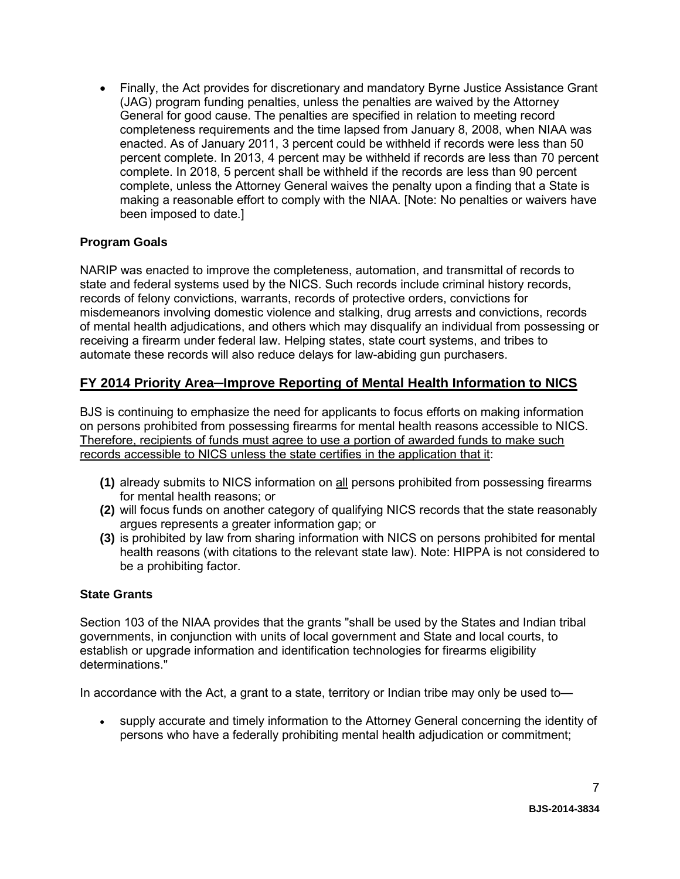• Finally, the Act provides for discretionary and mandatory Byrne Justice Assistance Grant (JAG) program funding penalties, unless the penalties are waived by the Attorney General for good cause. The penalties are specified in relation to meeting record completeness requirements and the time lapsed from January 8, 2008, when NIAA was enacted. As of January 2011, 3 percent could be withheld if records were less than 50 percent complete. In 2013, 4 percent may be withheld if records are less than 70 percent complete. In 2018, 5 percent shall be withheld if the records are less than 90 percent complete, unless the Attorney General waives the penalty upon a finding that a State is making a reasonable effort to comply with the NIAA. [Note: No penalties or waivers have been imposed to date.]

#### **Program Goals**

NARIP was enacted to improve the completeness, automation, and transmittal of records to state and federal systems used by the NICS. Such records include criminal history records, records of felony convictions, warrants, records of protective orders, convictions for misdemeanors involving domestic violence and stalking, drug arrests and convictions, records of mental health adjudications, and others which may disqualify an individual from possessing or receiving a firearm under federal law. Helping states, state court systems, and tribes to automate these records will also reduce delays for law-abiding gun purchasers.

### **FY 2014 Priority Area─Improve Reporting of Mental Health Information to NICS**

BJS is continuing to emphasize the need for applicants to focus efforts on making information on persons prohibited from possessing firearms for mental health reasons accessible to NICS. Therefore, recipients of funds must agree to use a portion of awarded funds to make such records accessible to NICS unless the state certifies in the application that it:

- **(1)** already submits to NICS information on all persons prohibited from possessing firearms for mental health reasons; or
- **(2)** will focus funds on another category of qualifying NICS records that the state reasonably argues represents a greater information gap; or
- **(3)** is prohibited by law from sharing information with NICS on persons prohibited for mental health reasons (with citations to the relevant state law). Note: HIPPA is not considered to be a prohibiting factor.

#### **State Grants**

Section 103 of the NIAA provides that the grants "shall be used by the States and Indian tribal governments, in conjunction with units of local government and State and local courts, to establish or upgrade information and identification technologies for firearms eligibility determinations."

In accordance with the Act, a grant to a state, territory or Indian tribe may only be used to—

• supply accurate and timely information to the Attorney General concerning the identity of persons who have a federally prohibiting mental health adjudication or commitment;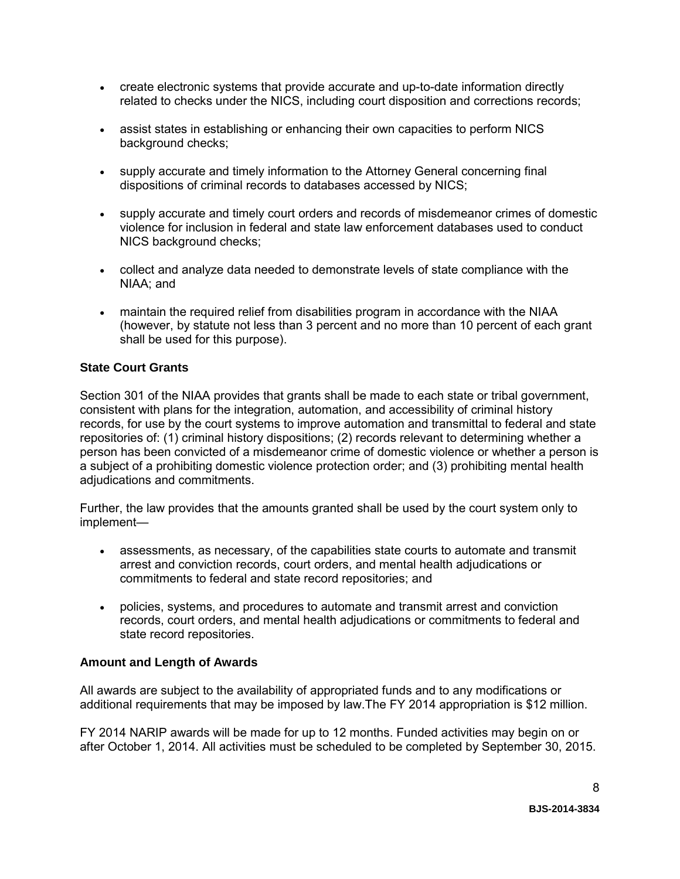- create electronic systems that provide accurate and up-to-date information directly related to checks under the NICS, including court disposition and corrections records;
- assist states in establishing or enhancing their own capacities to perform NICS background checks;
- supply accurate and timely information to the Attorney General concerning final dispositions of criminal records to databases accessed by NICS;
- supply accurate and timely court orders and records of misdemeanor crimes of domestic violence for inclusion in federal and state law enforcement databases used to conduct NICS background checks;
- collect and analyze data needed to demonstrate levels of state compliance with the NIAA; and
- maintain the required relief from disabilities program in accordance with the NIAA (however, by statute not less than 3 percent and no more than 10 percent of each grant shall be used for this purpose).

#### **State Court Grants**

Section 301 of the NIAA provides that grants shall be made to each state or tribal government, consistent with plans for the integration, automation, and accessibility of criminal history records, for use by the court systems to improve automation and transmittal to federal and state repositories of: (1) criminal history dispositions; (2) records relevant to determining whether a person has been convicted of a misdemeanor crime of domestic violence or whether a person is a subject of a prohibiting domestic violence protection order; and (3) prohibiting mental health adjudications and commitments.

Further, the law provides that the amounts granted shall be used by the court system only to implement—

- assessments, as necessary, of the capabilities state courts to automate and transmit arrest and conviction records, court orders, and mental health adjudications or commitments to federal and state record repositories; and
- policies, systems, and procedures to automate and transmit arrest and conviction records, court orders, and mental health adjudications or commitments to federal and state record repositories.

#### **Amount and Length of Awards**

All awards are subject to the availability of appropriated funds and to any modifications or additional requirements that may be imposed by law.The FY 2014 appropriation is \$12 million.

FY 2014 NARIP awards will be made for up to 12 months. Funded activities may begin on or after October 1, 2014. All activities must be scheduled to be completed by September 30, 2015.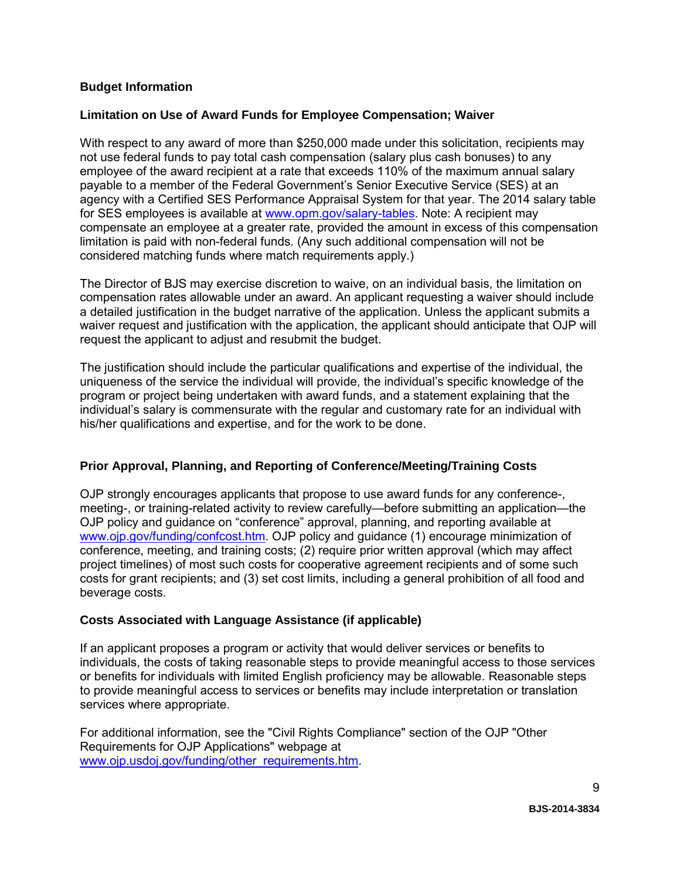#### **Budget Information**

#### **Limitation on Use of Award Funds for Employee Compensation; Waiver**

With respect to any award of more than \$250,000 made under this solicitation, recipients may not use federal funds to pay total cash compensation (salary plus cash bonuses) to any employee of the award recipient at a rate that exceeds 110% of the maximum annual salary payable to a member of the Federal Government's Senior Executive Service (SES) at an agency with a Certified SES Performance Appraisal System for that year. The 2014 salary table for SES employees is available at [www.opm.gov/salary-tables.](http://www.opm.gov/policy-data-oversight/pay-leave/salaries-wages/salary-tables/14Tables/exec/html/ES.aspx) Note: A recipient may compensate an employee at a greater rate, provided the amount in excess of this compensation limitation is paid with non-federal funds. (Any such additional compensation will not be considered matching funds where match requirements apply.)

The Director of BJS may exercise discretion to waive, on an individual basis, the limitation on compensation rates allowable under an award. An applicant requesting a waiver should include a detailed justification in the budget narrative of the application. Unless the applicant submits a waiver request and justification with the application, the applicant should anticipate that OJP will request the applicant to adjust and resubmit the budget.

The justification should include the particular qualifications and expertise of the individual, the uniqueness of the service the individual will provide, the individual's specific knowledge of the program or project being undertaken with award funds, and a statement explaining that the individual's salary is commensurate with the regular and customary rate for an individual with his/her qualifications and expertise, and for the work to be done.

#### **Prior Approval, Planning, and Reporting of Conference/Meeting/Training Costs**

OJP strongly encourages applicants that propose to use award funds for any conference-, meeting-, or training-related activity to review carefully—before submitting an application—the OJP policy and guidance on "conference" approval, planning, and reporting available at [www.ojp.gov/funding/confcost.htm.](http://www.ojp.gov/funding/confcost.htm) OJP policy and guidance (1) encourage minimization of conference, meeting, and training costs; (2) require prior written approval (which may affect project timelines) of most such costs for cooperative agreement recipients and of some such costs for grant recipients; and (3) set cost limits, including a general prohibition of all food and beverage costs.

#### **Costs Associated with Language Assistance (if applicable)**

If an applicant proposes a program or activity that would deliver services or benefits to individuals, the costs of taking reasonable steps to provide meaningful access to those services or benefits for individuals with limited English proficiency may be allowable. Reasonable steps to provide meaningful access to services or benefits may include interpretation or translation services where appropriate.

For additional information, see the "Civil Rights Compliance" section of the OJP "Other Requirements for OJP Applications" webpage at [www.ojp.usdoj.gov/funding/other\\_requirements.htm.](http://www.ojp.usdoj.gov/funding/other_requirements.htm)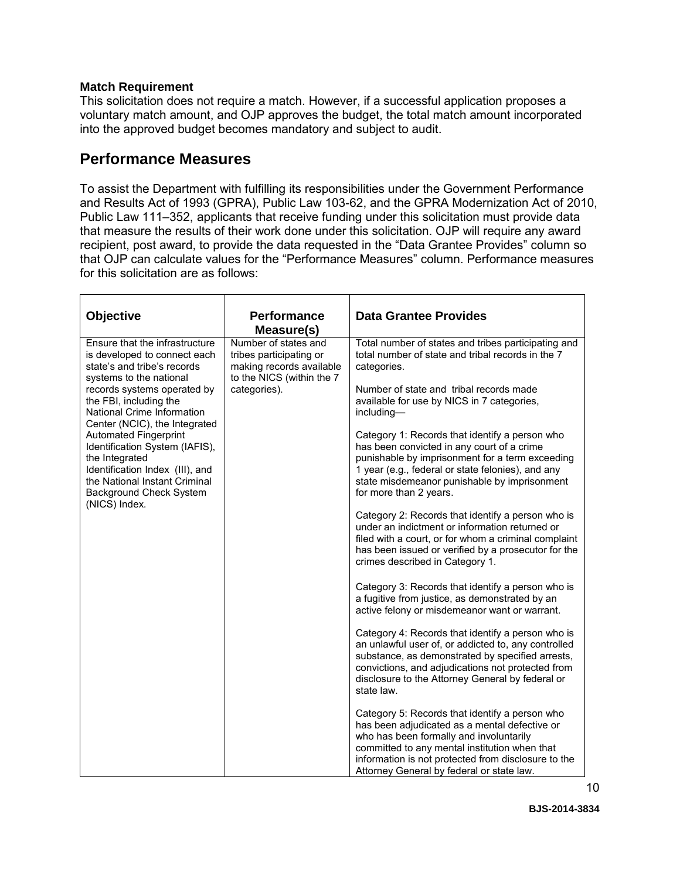#### **Match Requirement**

This solicitation does not require a match. However, if a successful application proposes a voluntary match amount, and OJP approves the budget, the total match amount incorporated into the approved budget becomes mandatory and subject to audit.

### **Performance Measures**

To assist the Department with fulfilling its responsibilities under the Government Performance and Results Act of 1993 (GPRA), Public Law 103-62, and the GPRA Modernization Act of 2010, Public Law 111–352, applicants that receive funding under this solicitation must provide data that measure the results of their work done under this solicitation. OJP will require any award recipient, post award, to provide the data requested in the "Data Grantee Provides" column so that OJP can calculate values for the "Performance Measures" column. Performance measures for this solicitation are as follows:

| <b>Objective</b>                                                                                                                                                                                        | <b>Performance</b><br>Measure(s)                                                                         | <b>Data Grantee Provides</b>                                                                                                                                                                                                                                                                    |
|---------------------------------------------------------------------------------------------------------------------------------------------------------------------------------------------------------|----------------------------------------------------------------------------------------------------------|-------------------------------------------------------------------------------------------------------------------------------------------------------------------------------------------------------------------------------------------------------------------------------------------------|
| Ensure that the infrastructure<br>is developed to connect each<br>state's and tribe's records<br>systems to the national                                                                                | Number of states and<br>tribes participating or<br>making records available<br>to the NICS (within the 7 | Total number of states and tribes participating and<br>total number of state and tribal records in the 7<br>categories.                                                                                                                                                                         |
| records systems operated by<br>the FBI, including the<br>National Crime Information<br>Center (NCIC), the Integrated                                                                                    | categories).                                                                                             | Number of state and tribal records made<br>available for use by NICS in 7 categories,<br>including-                                                                                                                                                                                             |
| <b>Automated Fingerprint</b><br>Identification System (IAFIS),<br>the Integrated<br>Identification Index (III), and<br>the National Instant Criminal<br><b>Background Check System</b><br>(NICS) Index. |                                                                                                          | Category 1: Records that identify a person who<br>has been convicted in any court of a crime<br>punishable by imprisonment for a term exceeding<br>1 year (e.g., federal or state felonies), and any<br>state misdemeanor punishable by imprisonment<br>for more than 2 years.                  |
|                                                                                                                                                                                                         |                                                                                                          | Category 2: Records that identify a person who is<br>under an indictment or information returned or<br>filed with a court, or for whom a criminal complaint<br>has been issued or verified by a prosecutor for the<br>crimes described in Category 1.                                           |
|                                                                                                                                                                                                         |                                                                                                          | Category 3: Records that identify a person who is<br>a fugitive from justice, as demonstrated by an<br>active felony or misdemeanor want or warrant.                                                                                                                                            |
|                                                                                                                                                                                                         |                                                                                                          | Category 4: Records that identify a person who is<br>an unlawful user of, or addicted to, any controlled<br>substance, as demonstrated by specified arrests,<br>convictions, and adjudications not protected from<br>disclosure to the Attorney General by federal or<br>state law.             |
|                                                                                                                                                                                                         |                                                                                                          | Category 5: Records that identify a person who<br>has been adjudicated as a mental defective or<br>who has been formally and involuntarily<br>committed to any mental institution when that<br>information is not protected from disclosure to the<br>Attorney General by federal or state law. |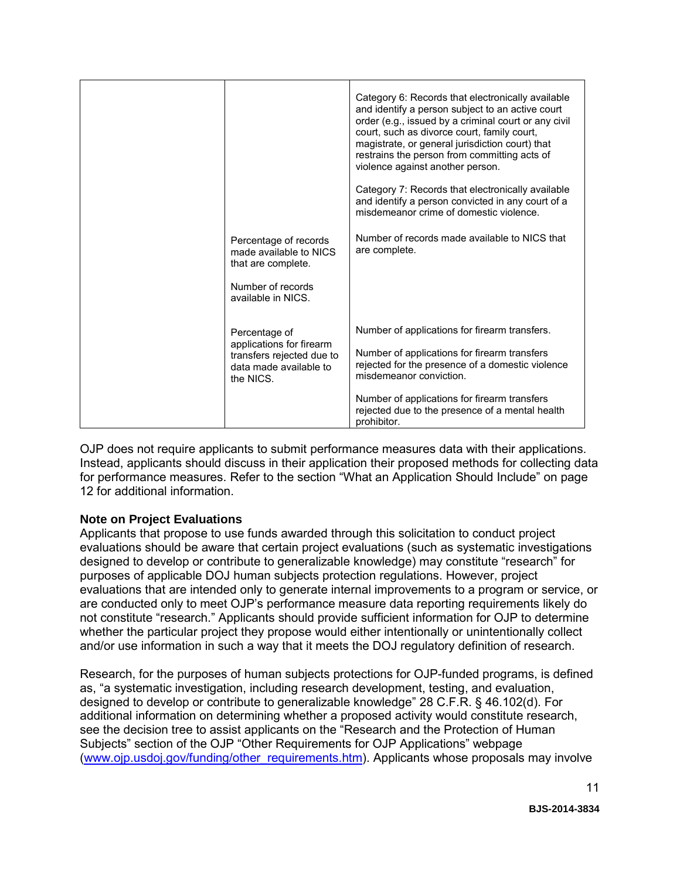|                                                                                              |                                                                                                                             | Category 6: Records that electronically available<br>and identify a person subject to an active court<br>order (e.g., issued by a criminal court or any civil<br>court, such as divorce court, family court,<br>magistrate, or general jurisdiction court) that<br>restrains the person from committing acts of<br>violence against another person. |
|----------------------------------------------------------------------------------------------|-----------------------------------------------------------------------------------------------------------------------------|-----------------------------------------------------------------------------------------------------------------------------------------------------------------------------------------------------------------------------------------------------------------------------------------------------------------------------------------------------|
|                                                                                              |                                                                                                                             | Category 7: Records that electronically available<br>and identify a person convicted in any court of a<br>misdemeanor crime of domestic violence.                                                                                                                                                                                                   |
|                                                                                              | Percentage of records<br>made available to NICS<br>that are complete.                                                       | Number of records made available to NICS that<br>are complete.                                                                                                                                                                                                                                                                                      |
|                                                                                              | Number of records<br>available in NICS.                                                                                     |                                                                                                                                                                                                                                                                                                                                                     |
|                                                                                              | Percentage of                                                                                                               | Number of applications for firearm transfers.                                                                                                                                                                                                                                                                                                       |
| applications for firearm<br>transfers rejected due to<br>data made available to<br>the NICS. | Number of applications for firearm transfers<br>rejected for the presence of a domestic violence<br>misdemeanor conviction. |                                                                                                                                                                                                                                                                                                                                                     |
|                                                                                              |                                                                                                                             | Number of applications for firearm transfers<br>rejected due to the presence of a mental health<br>prohibitor.                                                                                                                                                                                                                                      |

OJP does not require applicants to submit performance measures data with their applications. Instead, applicants should discuss in their application their proposed methods for collecting data for performance measures. Refer to the section "What an Application Should Include" on page 12 for additional information.

#### **Note on Project Evaluations**

Applicants that propose to use funds awarded through this solicitation to conduct project evaluations should be aware that certain project evaluations (such as systematic investigations designed to develop or contribute to generalizable knowledge) may constitute "research" for purposes of applicable DOJ human subjects protection regulations. However, project evaluations that are intended only to generate internal improvements to a program or service, or are conducted only to meet OJP's performance measure data reporting requirements likely do not constitute "research." Applicants should provide sufficient information for OJP to determine whether the particular project they propose would either intentionally or unintentionally collect and/or use information in such a way that it meets the DOJ regulatory definition of research.

Research, for the purposes of human subjects protections for OJP-funded programs, is defined as, "a systematic investigation, including research development, testing, and evaluation, designed to develop or contribute to generalizable knowledge" 28 C.F.R. § 46.102(d). For additional information on determining whether a proposed activity would constitute research, see the decision tree to assist applicants on the "Research and the Protection of Human Subjects" section of the OJP "Other Requirements for OJP Applications" webpage [\(www.ojp.usdoj.gov/funding/other\\_requirements.htm\)](http://www.ojp.usdoj.gov/funding/other_requirements.htm). Applicants whose proposals may involve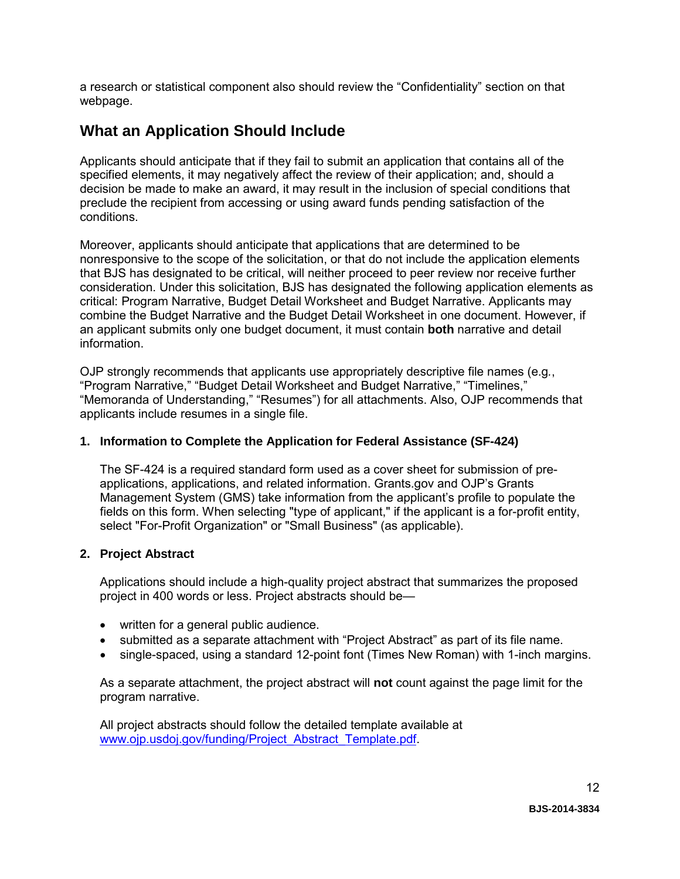a research or statistical component also should review the "Confidentiality" section on that webpage.

### <span id="page-11-0"></span>**What an Application Should Include**

Applicants should anticipate that if they fail to submit an application that contains all of the specified elements, it may negatively affect the review of their application; and, should a decision be made to make an award, it may result in the inclusion of special conditions that preclude the recipient from accessing or using award funds pending satisfaction of the conditions.

Moreover, applicants should anticipate that applications that are determined to be nonresponsive to the scope of the solicitation, or that do not include the application elements that BJS has designated to be critical, will neither proceed to peer review nor receive further consideration. Under this solicitation, BJS has designated the following application elements as critical: Program Narrative, Budget Detail Worksheet and Budget Narrative. Applicants may combine the Budget Narrative and the Budget Detail Worksheet in one document. However, if an applicant submits only one budget document, it must contain **both** narrative and detail information.

OJP strongly recommends that applicants use appropriately descriptive file names (e.g*.*, "Program Narrative," "Budget Detail Worksheet and Budget Narrative," "Timelines," "Memoranda of Understanding," "Resumes") for all attachments. Also, OJP recommends that applicants include resumes in a single file.

#### <span id="page-11-1"></span>**1. Information to Complete the Application for Federal Assistance (SF-424)**

The SF-424 is a required standard form used as a cover sheet for submission of preapplications, applications, and related information. Grants.gov and OJP's Grants Management System (GMS) take information from the applicant's profile to populate the fields on this form. When selecting "type of applicant," if the applicant is a for-profit entity, select "For-Profit Organization" or "Small Business" (as applicable).

#### **2. Project Abstract**

Applications should include a high-quality project abstract that summarizes the proposed project in 400 words or less. Project abstracts should be—

- written for a general public audience.
- submitted as a separate attachment with "Project Abstract" as part of its file name.
- single-spaced, using a standard 12-point font (Times New Roman) with 1-inch margins.

As a separate attachment, the project abstract will **not** count against the page limit for the program narrative.

All project abstracts should follow the detailed template available at [www.ojp.usdoj.gov/funding/Project\\_Abstract\\_Template.pdf.](http://www.ojp.usdoj.gov/funding/Project_Abstract_Template.pdf)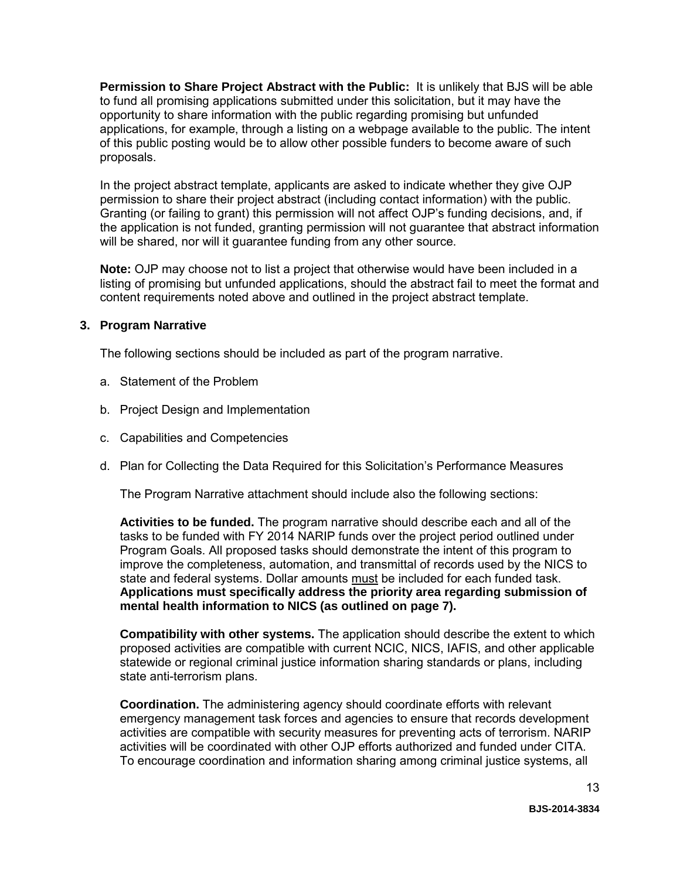**Permission to Share Project Abstract with the Public:** It is unlikely that BJS will be able to fund all promising applications submitted under this solicitation, but it may have the opportunity to share information with the public regarding promising but unfunded applications, for example, through a listing on a webpage available to the public. The intent of this public posting would be to allow other possible funders to become aware of such proposals.

In the project abstract template, applicants are asked to indicate whether they give OJP permission to share their project abstract (including contact information) with the public. Granting (or failing to grant) this permission will not affect OJP's funding decisions, and, if the application is not funded, granting permission will not guarantee that abstract information will be shared, nor will it guarantee funding from any other source.

**Note:** OJP may choose not to list a project that otherwise would have been included in a listing of promising but unfunded applications, should the abstract fail to meet the format and content requirements noted above and outlined in the project abstract template.

#### <span id="page-12-0"></span>**3. Program Narrative**

The following sections should be included as part of the program narrative.

- a. Statement of the Problem
- b. Project Design and Implementation
- c. Capabilities and Competencies
- d. Plan for Collecting the Data Required for this Solicitation's Performance Measures

The Program Narrative attachment should include also the following sections:

**Activities to be funded.** The program narrative should describe each and all of the tasks to be funded with FY 2014 NARIP funds over the project period outlined under Program Goals. All proposed tasks should demonstrate the intent of this program to improve the completeness, automation, and transmittal of records used by the NICS to state and federal systems. Dollar amounts must be included for each funded task. **Applications must specifically address the priority area regarding submission of mental health information to NICS (as outlined on page 7).**

**Compatibility with other systems.** The application should describe the extent to which proposed activities are compatible with current NCIC, NICS, IAFIS, and other applicable statewide or regional criminal justice information sharing standards or plans, including state anti-terrorism plans.

**Coordination.** The administering agency should coordinate efforts with relevant emergency management task forces and agencies to ensure that records development activities are compatible with security measures for preventing acts of terrorism. NARIP activities will be coordinated with other OJP efforts authorized and funded under CITA. To encourage coordination and information sharing among criminal justice systems, all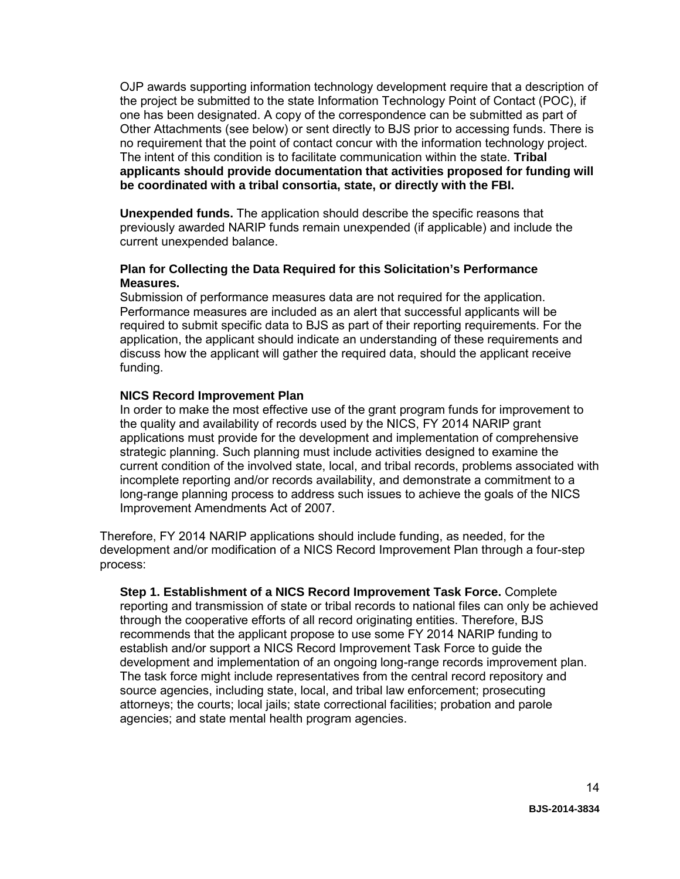OJP awards supporting information technology development require that a description of the project be submitted to the state Information Technology Point of Contact (POC), if one has been designated. A copy of the correspondence can be submitted as part of Other Attachments (see below) or sent directly to BJS prior to accessing funds. There is no requirement that the point of contact concur with the information technology project. The intent of this condition is to facilitate communication within the state. **Tribal applicants should provide documentation that activities proposed for funding will be coordinated with a tribal consortia, state, or directly with the FBI.** 

**Unexpended funds.** The application should describe the specific reasons that previously awarded NARIP funds remain unexpended (if applicable) and include the current unexpended balance.

#### **Plan for Collecting the Data Required for this Solicitation's Performance Measures.**

Submission of performance measures data are not required for the application. Performance measures are included as an alert that successful applicants will be required to submit specific data to BJS as part of their reporting requirements. For the application, the applicant should indicate an understanding of these requirements and discuss how the applicant will gather the required data, should the applicant receive funding.

#### **NICS Record Improvement Plan**

In order to make the most effective use of the grant program funds for improvement to the quality and availability of records used by the NICS, FY 2014 NARIP grant applications must provide for the development and implementation of comprehensive strategic planning. Such planning must include activities designed to examine the current condition of the involved state, local, and tribal records, problems associated with incomplete reporting and/or records availability, and demonstrate a commitment to a long-range planning process to address such issues to achieve the goals of the NICS Improvement Amendments Act of 2007.

Therefore, FY 2014 NARIP applications should include funding, as needed, for the development and/or modification of a NICS Record Improvement Plan through a four-step process:

**Step 1. Establishment of a NICS Record Improvement Task Force.** Complete reporting and transmission of state or tribal records to national files can only be achieved through the cooperative efforts of all record originating entities. Therefore, BJS recommends that the applicant propose to use some FY 2014 NARIP funding to establish and/or support a NICS Record Improvement Task Force to guide the development and implementation of an ongoing long-range records improvement plan. The task force might include representatives from the central record repository and source agencies, including state, local, and tribal law enforcement; prosecuting attorneys; the courts; local jails; state correctional facilities; probation and parole agencies; and state mental health program agencies.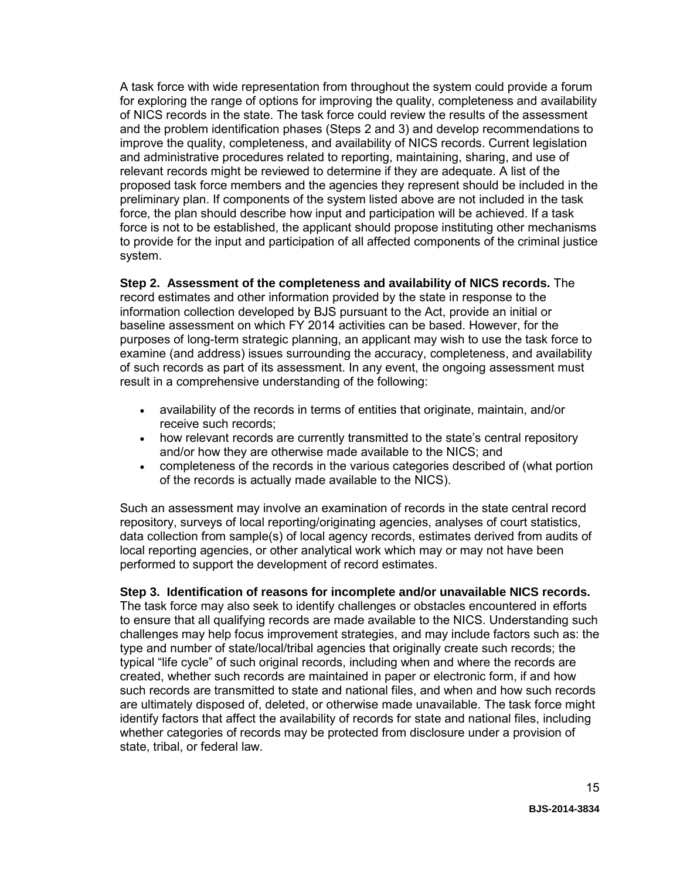A task force with wide representation from throughout the system could provide a forum for exploring the range of options for improving the quality, completeness and availability of NICS records in the state. The task force could review the results of the assessment and the problem identification phases (Steps 2 and 3) and develop recommendations to improve the quality, completeness, and availability of NICS records. Current legislation and administrative procedures related to reporting, maintaining, sharing, and use of relevant records might be reviewed to determine if they are adequate. A list of the proposed task force members and the agencies they represent should be included in the preliminary plan. If components of the system listed above are not included in the task force, the plan should describe how input and participation will be achieved. If a task force is not to be established, the applicant should propose instituting other mechanisms to provide for the input and participation of all affected components of the criminal justice system.

**Step 2. Assessment of the completeness and availability of NICS records.** The record estimates and other information provided by the state in response to the information collection developed by BJS pursuant to the Act, provide an initial or baseline assessment on which FY 2014 activities can be based. However, for the purposes of long-term strategic planning, an applicant may wish to use the task force to examine (and address) issues surrounding the accuracy, completeness, and availability of such records as part of its assessment. In any event, the ongoing assessment must result in a comprehensive understanding of the following:

- availability of the records in terms of entities that originate, maintain, and/or receive such records;
- how relevant records are currently transmitted to the state's central repository and/or how they are otherwise made available to the NICS; and
- completeness of the records in the various categories described of (what portion of the records is actually made available to the NICS).

Such an assessment may involve an examination of records in the state central record repository, surveys of local reporting/originating agencies, analyses of court statistics, data collection from sample(s) of local agency records, estimates derived from audits of local reporting agencies, or other analytical work which may or may not have been performed to support the development of record estimates.

#### **Step 3. Identification of reasons for incomplete and/or unavailable NICS records.**

The task force may also seek to identify challenges or obstacles encountered in efforts to ensure that all qualifying records are made available to the NICS. Understanding such challenges may help focus improvement strategies, and may include factors such as: the type and number of state/local/tribal agencies that originally create such records; the typical "life cycle" of such original records, including when and where the records are created, whether such records are maintained in paper or electronic form, if and how such records are transmitted to state and national files, and when and how such records are ultimately disposed of, deleted, or otherwise made unavailable. The task force might identify factors that affect the availability of records for state and national files, including whether categories of records may be protected from disclosure under a provision of state, tribal, or federal law.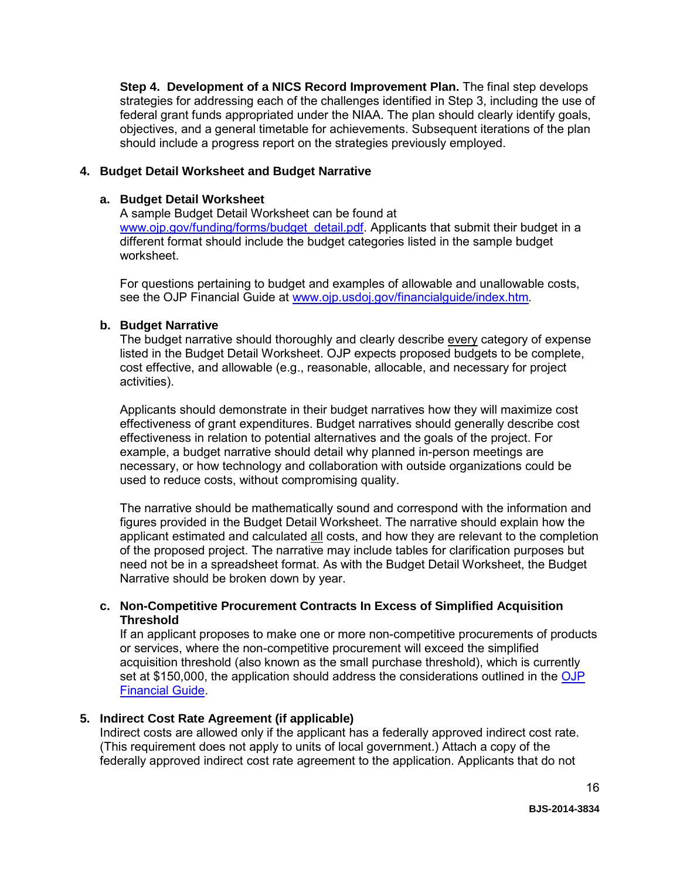**Step 4. Development of a NICS Record Improvement Plan.** The final step develops strategies for addressing each of the challenges identified in Step 3, including the use of federal grant funds appropriated under the NIAA. The plan should clearly identify goals, objectives, and a general timetable for achievements. Subsequent iterations of the plan should include a progress report on the strategies previously employed.

#### <span id="page-15-0"></span>**4. Budget Detail Worksheet and Budget Narrative**

#### **a. Budget Detail Worksheet**

A sample Budget Detail Worksheet can be found at [www.ojp.gov/funding/forms/budget\\_detail.pdf.](http://www.ojp.gov/funding/forms/budget_detail.pdf) Applicants that submit their budget in a different format should include the budget categories listed in the sample budget worksheet.

For questions pertaining to budget and examples of allowable and unallowable costs, see the OJP Financial Guide at [www.ojp.usdoj.gov/financialguide/index.htm](http://www.ojp.usdoj.gov/financialguide/index.htm)*.*

#### **b. Budget Narrative**

The budget narrative should thoroughly and clearly describe every category of expense listed in the Budget Detail Worksheet. OJP expects proposed budgets to be complete, cost effective, and allowable (e.g., reasonable, allocable, and necessary for project activities).

Applicants should demonstrate in their budget narratives how they will maximize cost effectiveness of grant expenditures. Budget narratives should generally describe cost effectiveness in relation to potential alternatives and the goals of the project. For example, a budget narrative should detail why planned in-person meetings are necessary, or how technology and collaboration with outside organizations could be used to reduce costs, without compromising quality.

The narrative should be mathematically sound and correspond with the information and figures provided in the Budget Detail Worksheet. The narrative should explain how the applicant estimated and calculated all costs, and how they are relevant to the completion of the proposed project. The narrative may include tables for clarification purposes but need not be in a spreadsheet format. As with the Budget Detail Worksheet, the Budget Narrative should be broken down by year.

#### **c. Non-Competitive Procurement Contracts In Excess of Simplified Acquisition Threshold**

If an applicant proposes to make one or more non-competitive procurements of products or services, where the non-competitive procurement will exceed the simplified acquisition threshold (also known as the small purchase threshold), which is currently set at \$150,000, the application should address the considerations outlined in the OJP [Financial Guide.](http://www.ojp.usdoj.gov/financialguide/index.htm)

#### <span id="page-15-1"></span>**5. Indirect Cost Rate Agreement (if applicable)**

Indirect costs are allowed only if the applicant has a federally approved indirect cost rate. (This requirement does not apply to units of local government.) Attach a copy of the federally approved indirect cost rate agreement to the application. Applicants that do not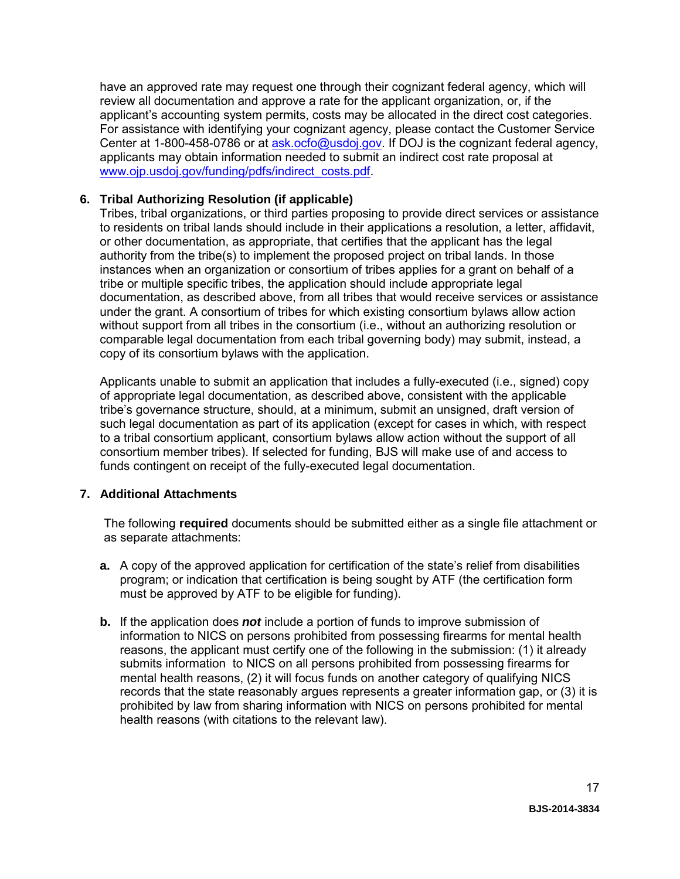have an approved rate may request one through their cognizant federal agency, which will review all documentation and approve a rate for the applicant organization, or, if the applicant's accounting system permits, costs may be allocated in the direct cost categories. For assistance with identifying your cognizant agency, please contact the Customer Service Center at 1-800-458-0786 or at [ask.ocfo@usdoj.gov.](mailto:ask.ocfo@usdoj.gov) If DOJ is the cognizant federal agency. applicants may obtain information needed to submit an indirect cost rate proposal at [www.ojp.usdoj.gov/funding/pdfs/indirect\\_costs.pdf.](http://www.ojp.usdoj.gov/funding/pdfs/indirect_costs.pdf)

#### <span id="page-16-0"></span>**6. Tribal Authorizing Resolution (if applicable)**

Tribes, tribal organizations, or third parties proposing to provide direct services or assistance to residents on tribal lands should include in their applications a resolution, a letter, affidavit, or other documentation, as appropriate, that certifies that the applicant has the legal authority from the tribe(s) to implement the proposed project on tribal lands. In those instances when an organization or consortium of tribes applies for a grant on behalf of a tribe or multiple specific tribes, the application should include appropriate legal documentation, as described above, from all tribes that would receive services or assistance under the grant. A consortium of tribes for which existing consortium bylaws allow action without support from all tribes in the consortium (i.e., without an authorizing resolution or comparable legal documentation from each tribal governing body) may submit, instead, a copy of its consortium bylaws with the application.

Applicants unable to submit an application that includes a fully-executed (i.e., signed) copy of appropriate legal documentation, as described above, consistent with the applicable tribe's governance structure, should, at a minimum, submit an unsigned, draft version of such legal documentation as part of its application (except for cases in which, with respect to a tribal consortium applicant, consortium bylaws allow action without the support of all consortium member tribes). If selected for funding, BJS will make use of and access to funds contingent on receipt of the fully-executed legal documentation.

#### <span id="page-16-1"></span>**7. Additional Attachments**

The following **required** documents should be submitted either as a single file attachment or as separate attachments:

- **a.** A copy of the approved application for certification of the state's relief from disabilities program; or indication that certification is being sought by ATF (the certification form must be approved by ATF to be eligible for funding).
- **b.** If the application does *not* include a portion of funds to improve submission of information to NICS on persons prohibited from possessing firearms for mental health reasons, the applicant must certify one of the following in the submission: (1) it already submits information to NICS on all persons prohibited from possessing firearms for mental health reasons, (2) it will focus funds on another category of qualifying NICS records that the state reasonably argues represents a greater information gap, or (3) it is prohibited by law from sharing information with NICS on persons prohibited for mental health reasons (with citations to the relevant law).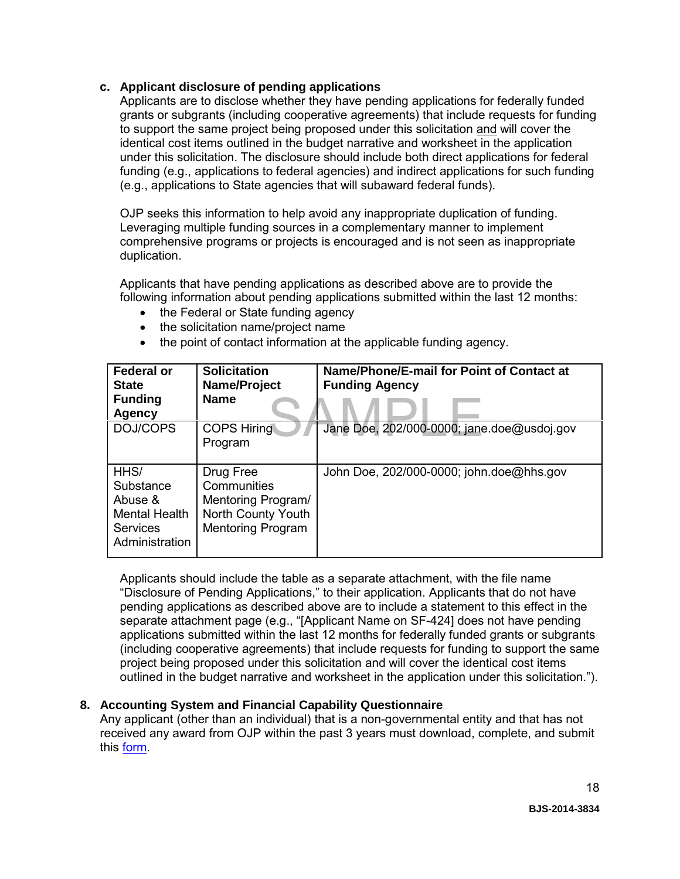#### **c. Applicant disclosure of pending applications**

Applicants are to disclose whether they have pending applications for federally funded grants or subgrants (including cooperative agreements) that include requests for funding to support the same project being proposed under this solicitation and will cover the identical cost items outlined in the budget narrative and worksheet in the application under this solicitation. The disclosure should include both direct applications for federal funding (e.g., applications to federal agencies) and indirect applications for such funding (e.g., applications to State agencies that will subaward federal funds).

OJP seeks this information to help avoid any inappropriate duplication of funding. Leveraging multiple funding sources in a complementary manner to implement comprehensive programs or projects is encouraged and is not seen as inappropriate duplication.

Applicants that have pending applications as described above are to provide the following information about pending applications submitted within the last 12 months:

- the Federal or State funding agency
- the solicitation name/project name
- the point of contact information at the applicable funding agency.

| <b>Federal or</b><br><b>State</b><br><b>Funding</b><br><b>Agency</b>               | <b>Solicitation</b><br>Name/Project<br><b>Name</b>                                               | Name/Phone/E-mail for Point of Contact at<br><b>Funding Agency</b> |
|------------------------------------------------------------------------------------|--------------------------------------------------------------------------------------------------|--------------------------------------------------------------------|
| DOJ/COPS                                                                           | <b>COPS Hiring</b><br>Program                                                                    | Jane Doe, 202/000-0000; jane.doe@usdoj.gov                         |
| HHS/<br>Substance<br>Abuse &<br>Mental Health<br><b>Services</b><br>Administration | Drug Free<br>Communities<br>Mentoring Program/<br>North County Youth<br><b>Mentoring Program</b> | John Doe, 202/000-0000; john.doe@hhs.gov                           |

Applicants should include the table as a separate attachment, with the file name "Disclosure of Pending Applications," to their application. Applicants that do not have pending applications as described above are to include a statement to this effect in the separate attachment page (e.g., "[Applicant Name on SF-424] does not have pending applications submitted within the last 12 months for federally funded grants or subgrants (including cooperative agreements) that include requests for funding to support the same project being proposed under this solicitation and will cover the identical cost items outlined in the budget narrative and worksheet in the application under this solicitation.").

#### <span id="page-17-0"></span>**8. Accounting System and Financial Capability Questionnaire**

Any applicant (other than an individual) that is a non-governmental entity and that has not received any award from OJP within the past 3 years must download, complete, and submit this [form.](http://www.ojp.usdoj.gov/funding/forms/financial_capability.pdf)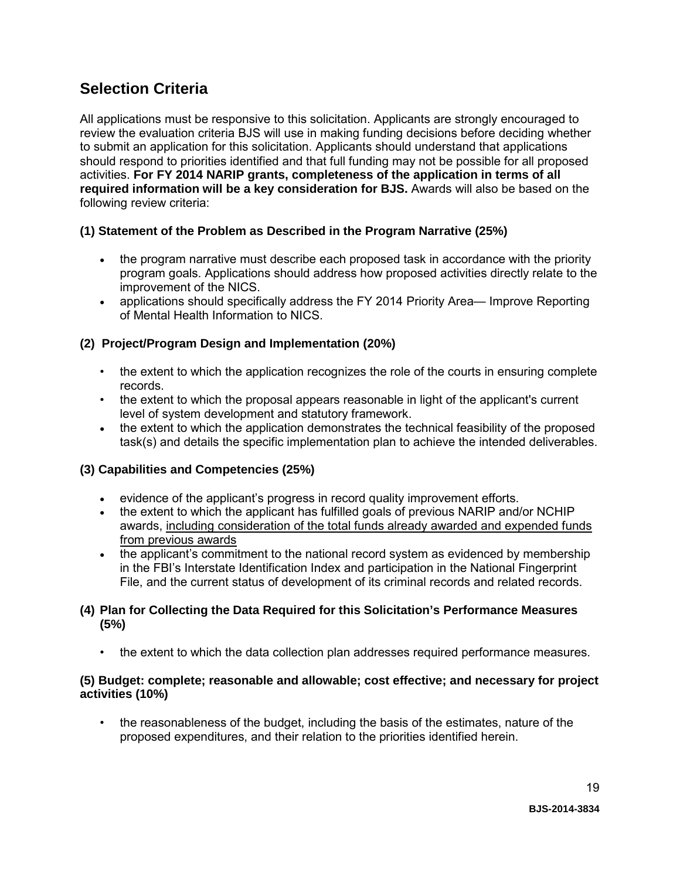### <span id="page-18-0"></span>**Selection Criteria**

All applications must be responsive to this solicitation. Applicants are strongly encouraged to review the evaluation criteria BJS will use in making funding decisions before deciding whether to submit an application for this solicitation. Applicants should understand that applications should respond to priorities identified and that full funding may not be possible for all proposed activities. **For FY 2014 NARIP grants, completeness of the application in terms of all required information will be a key consideration for BJS.** Awards will also be based on the following review criteria:

#### **(1) Statement of the Problem as Described in the Program Narrative (25%)**

- the program narrative must describe each proposed task in accordance with the priority program goals. Applications should address how proposed activities directly relate to the improvement of the NICS.
- applications should specifically address the FY 2014 Priority Area— Improve Reporting of Mental Health Information to NICS.

#### **(2) Project/Program Design and Implementation (20%)**

- the extent to which the application recognizes the role of the courts in ensuring complete records.
- the extent to which the proposal appears reasonable in light of the applicant's current level of system development and statutory framework.
- the extent to which the application demonstrates the technical feasibility of the proposed task(s) and details the specific implementation plan to achieve the intended deliverables.

#### **(3) Capabilities and Competencies (25%)**

- evidence of the applicant's progress in record quality improvement efforts.
- the extent to which the applicant has fulfilled goals of previous NARIP and/or NCHIP awards, including consideration of the total funds already awarded and expended funds from previous awards
- the applicant's commitment to the national record system as evidenced by membership in the FBI's Interstate Identification Index and participation in the National Fingerprint File, and the current status of development of its criminal records and related records.

#### **(4) Plan for Collecting the Data Required for this Solicitation's Performance Measures (5%)**

• the extent to which the data collection plan addresses required performance measures.

#### **(5) Budget: complete; reasonable and allowable; cost effective; and necessary for project activities (10%)**

• the reasonableness of the budget, including the basis of the estimates, nature of the proposed expenditures, and their relation to the priorities identified herein.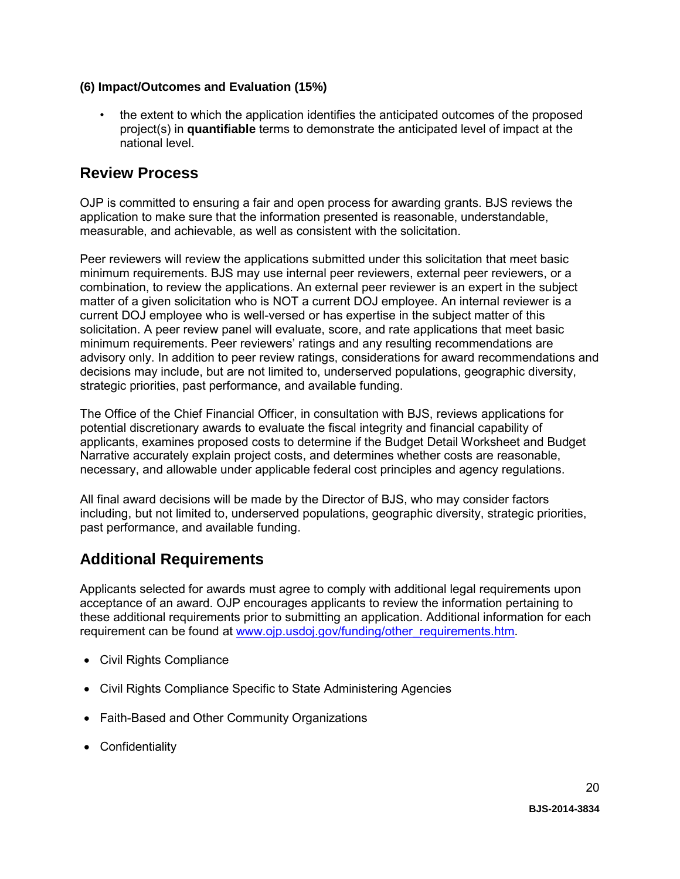#### **(6) Impact/Outcomes and Evaluation (15%)**

• the extent to which the application identifies the anticipated outcomes of the proposed project(s) in **quantifiable** terms to demonstrate the anticipated level of impact at the national level.

### <span id="page-19-0"></span>**Review Process**

OJP is committed to ensuring a fair and open process for awarding grants. BJS reviews the application to make sure that the information presented is reasonable, understandable, measurable, and achievable, as well as consistent with the solicitation.

Peer reviewers will review the applications submitted under this solicitation that meet basic minimum requirements. BJS may use internal peer reviewers, external peer reviewers, or a combination, to review the applications. An external peer reviewer is an expert in the subject matter of a given solicitation who is NOT a current DOJ employee. An internal reviewer is a current DOJ employee who is well-versed or has expertise in the subject matter of this solicitation. A peer review panel will evaluate, score, and rate applications that meet basic minimum requirements. Peer reviewers' ratings and any resulting recommendations are advisory only. In addition to peer review ratings, considerations for award recommendations and decisions may include, but are not limited to, underserved populations, geographic diversity, strategic priorities, past performance, and available funding.

The Office of the Chief Financial Officer, in consultation with BJS, reviews applications for potential discretionary awards to evaluate the fiscal integrity and financial capability of applicants, examines proposed costs to determine if the Budget Detail Worksheet and Budget Narrative accurately explain project costs, and determines whether costs are reasonable, necessary, and allowable under applicable federal cost principles and agency regulations.

All final award decisions will be made by the Director of BJS, who may consider factors including, but not limited to, underserved populations, geographic diversity, strategic priorities, past performance, and available funding.

### <span id="page-19-1"></span>**Additional Requirements**

Applicants selected for awards must agree to comply with additional legal requirements upon acceptance of an award. OJP encourages applicants to review the information pertaining to these additional requirements prior to submitting an application. Additional information for each requirement can be found at [www.ojp.usdoj.gov/funding/other\\_requirements.htm.](http://www.ojp.usdoj.gov/funding/other_requirements.htm)

- [Civil Rights Compliance](http://www.ojp.usdoj.gov/about/ocr/statutes.htm)
- Civil Rights Compliance Specific to State Administering Agencies
- Faith-Based and Other Community Organizations
- Confidentiality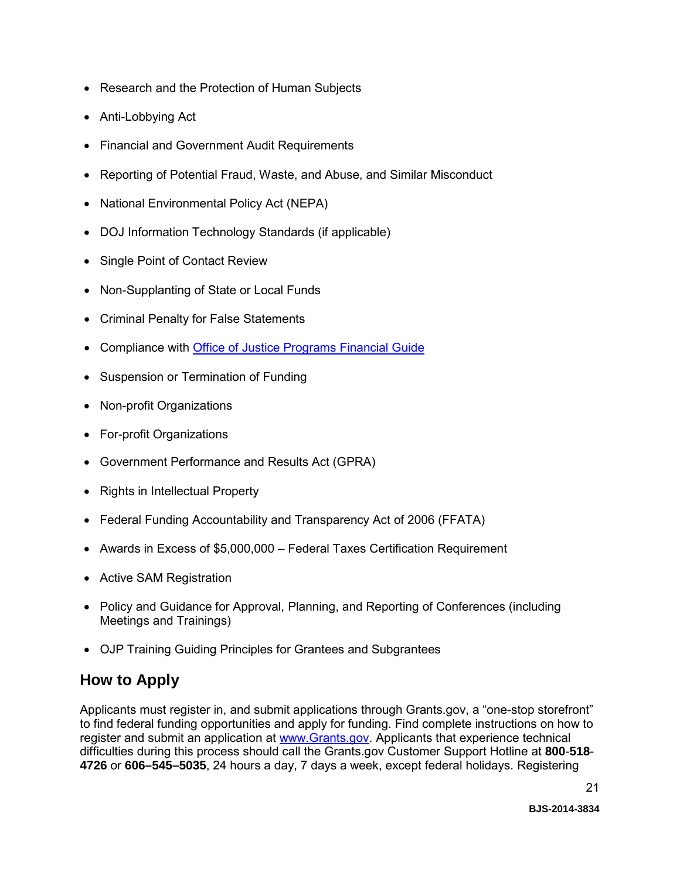- Research and the Protection of Human Subjects
- Anti-Lobbying Act
- Financial and Government Audit Requirements
- Reporting of Potential Fraud, Waste, and Abuse, and Similar Misconduct
- National Environmental Policy Act (NEPA)
- DOJ Information Technology Standards (if applicable)
- Single Point of Contact Review
- Non-Supplanting of State or Local Funds
- Criminal Penalty for False Statements
- Compliance with [Office of Justice Programs Financial Guide](http://www.ojp.usdoj.gov/financialguide/index.htm)
- Suspension or Termination of Funding
- Non-profit Organizations
- For-profit Organizations
- Government Performance and Results Act (GPRA)
- Rights in Intellectual Property
- Federal Funding Accountability and Transparency Act of 2006 (FFATA)
- Awards in Excess of \$5,000,000 Federal Taxes Certification Requirement
- Active SAM Registration
- Policy and Guidance for Approval, Planning, and Reporting of Conferences (including Meetings and Trainings)
- OJP Training Guiding Principles for Grantees and Subgrantees

### <span id="page-20-0"></span>**How to Apply**

Applicants must register in, and submit applications through Grants.gov, a "one-stop storefront" to find federal funding opportunities and apply for funding. Find complete instructions on how to register and submit an application at [www.Grants.gov.](http://www.grants.gov/) Applicants that experience technical difficulties during this process should call the Grants.gov Customer Support Hotline at **800**-**518**- **4726** or **606–545–5035**, 24 hours a day, 7 days a week, except federal holidays. Registering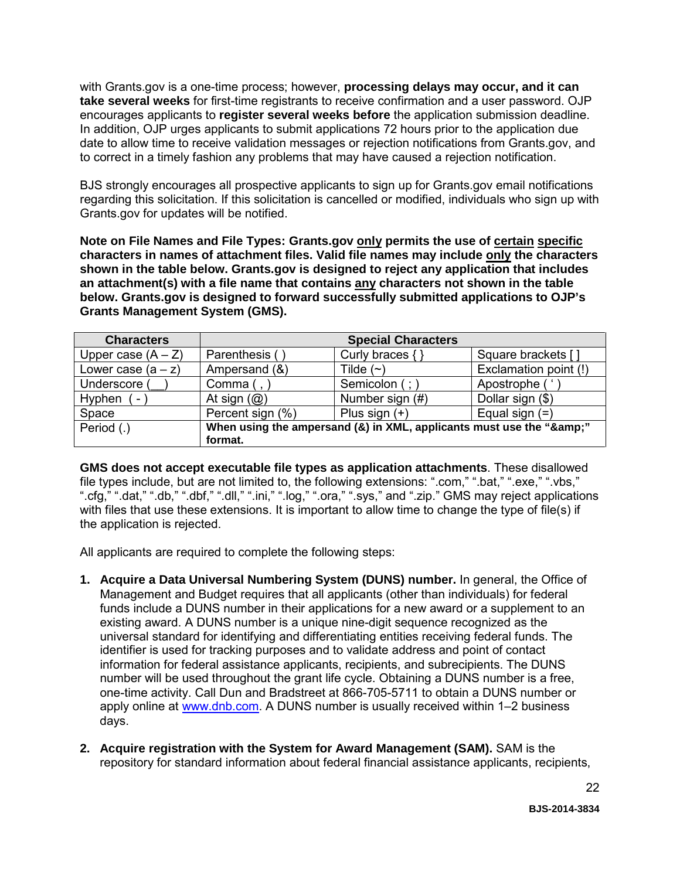with Grants.gov is a one-time process; however, **processing delays may occur, and it can take several weeks** for first-time registrants to receive confirmation and a user password. OJP encourages applicants to **register several weeks before** the application submission deadline. In addition, OJP urges applicants to submit applications 72 hours prior to the application due date to allow time to receive validation messages or rejection notifications from Grants.gov, and to correct in a timely fashion any problems that may have caused a rejection notification.

BJS strongly encourages all prospective applicants to sign up for Grants.gov email notifications regarding this solicitation. If this solicitation is cancelled or modified, individuals who sign up with Grants.gov for updates will be notified.

**Note on File Names and File Types: Grants.gov only permits the use of certain specific characters in names of attachment files. Valid file names may include only the characters shown in the table below. Grants.gov is designed to reject any application that includes an attachment(s) with a file name that contains any characters not shown in the table below. Grants.gov is designed to forward successfully submitted applications to OJP's Grants Management System (GMS).**

| <b>Characters</b>                  | <b>Special Characters</b>                                        |                      |                       |
|------------------------------------|------------------------------------------------------------------|----------------------|-----------------------|
| Upper case $(A - Z)$               | Parenthesis (                                                    | Curly braces $\{ \}$ | Square brackets []    |
| Lower case $(a - z)$               | Ampersand (&)                                                    | Tilde $(\sim)$       | Exclamation point (!) |
| Underscore (                       | Comma $($ , $)$                                                  | Semicolon (; )       | Apostrophe (          |
| Hyphen<br>$\overline{\phantom{a}}$ | At sign $(Q)$                                                    | Number sign (#)      | Dollar sign (\$)      |
| Space                              | Percent sign (%)                                                 | Plus sign $(+)$      | Equal sign $(=)$      |
| Period (.)                         | When using the ampersand (&) in XML, applicants must use the "&" |                      |                       |
|                                    | format.                                                          |                      |                       |

**GMS does not accept executable file types as application attachments**. These disallowed file types include, but are not limited to, the following extensions: ".com," ".bat," ".exe," ".vbs," ".cfg," ".dat," ".db," ".dbf," ".dll," ".ini," ".log," ".ora," ".sys," and ".zip." GMS may reject applications with files that use these extensions. It is important to allow time to change the type of file(s) if the application is rejected.

All applicants are required to complete the following steps:

- **1. Acquire a Data Universal Numbering System (DUNS) number.** In general, the Office of Management and Budget requires that all applicants (other than individuals) for federal funds include a DUNS number in their applications for a new award or a supplement to an existing award. A DUNS number is a unique nine-digit sequence recognized as the universal standard for identifying and differentiating entities receiving federal funds. The identifier is used for tracking purposes and to validate address and point of contact information for federal assistance applicants, recipients, and subrecipients. The DUNS number will be used throughout the grant life cycle. Obtaining a DUNS number is a free, one-time activity. Call Dun and Bradstreet at 866-705-5711 to obtain a DUNS number or apply online at [www.dnb.com.](http://www.dnb.com/) A DUNS number is usually received within 1–2 business days.
- **2. Acquire registration with the System for Award Management (SAM).** SAM is the repository for standard information about federal financial assistance applicants, recipients,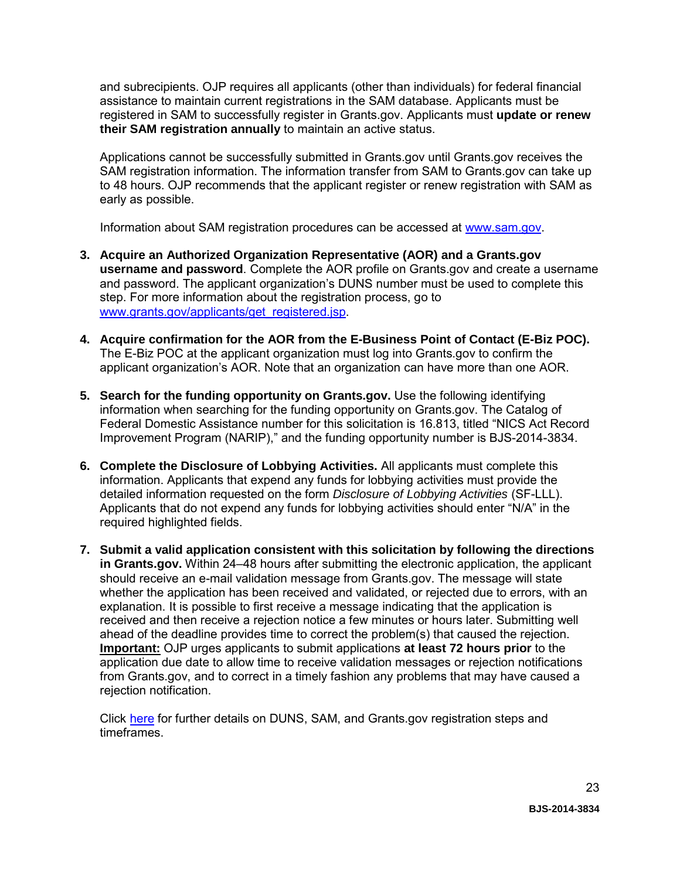and subrecipients. OJP requires all applicants (other than individuals) for federal financial assistance to maintain current registrations in the SAM database. Applicants must be registered in SAM to successfully register in Grants.gov. Applicants must **update or renew their SAM registration annually** to maintain an active status.

Applications cannot be successfully submitted in Grants.gov until Grants.gov receives the SAM registration information. The information transfer from SAM to Grants.gov can take up to 48 hours. OJP recommends that the applicant register or renew registration with SAM as early as possible.

Information about SAM registration procedures can be accessed at [www.sam.gov.](http://www.sam.gov/)

- **3. Acquire an Authorized Organization Representative (AOR) and a Grants.gov username and password**. Complete the AOR profile on Grants.gov and create a username and password. The applicant organization's DUNS number must be used to complete this step. For more information about the registration process, go to [www.grants.gov/applicants/get\\_registered.jsp.](http://www.grants.gov/applicants/get_registered.jsp)
- **4. Acquire confirmation for the AOR from the E-Business Point of Contact (E-Biz POC).**  The E-Biz POC at the applicant organization must log into Grants.gov to confirm the applicant organization's AOR. Note that an organization can have more than one AOR.
- **5. Search for the funding opportunity on Grants.gov.** Use the following identifying information when searching for the funding opportunity on Grants.gov. The Catalog of Federal Domestic Assistance number for this solicitation is 16.813, titled "NICS Act Record Improvement Program (NARIP)," and the funding opportunity number is BJS-2014-3834.
- **6. Complete the Disclosure of Lobbying Activities.** All applicants must complete this information. Applicants that expend any funds for lobbying activities must provide the detailed information requested on the form *Disclosure of Lobbying Activities* (SF-LLL). Applicants that do not expend any funds for lobbying activities should enter "N/A" in the required highlighted fields.
- **7. Submit a valid application consistent with this solicitation by following the directions in Grants.gov.** Within 24–48 hours after submitting the electronic application, the applicant should receive an e-mail validation message from Grants.gov. The message will state whether the application has been received and validated, or rejected due to errors, with an explanation. It is possible to first receive a message indicating that the application is received and then receive a rejection notice a few minutes or hours later. Submitting well ahead of the deadline provides time to correct the problem(s) that caused the rejection. **Important:** OJP urges applicants to submit applications **at least 72 hours prior** to the application due date to allow time to receive validation messages or rejection notifications from Grants.gov, and to correct in a timely fashion any problems that may have caused a rejection notification.

Click [here](http://www.grants.gov/web/grants/applicants/organization-registration.html) for further details on DUNS, SAM, and Grants.gov registration steps and timeframes.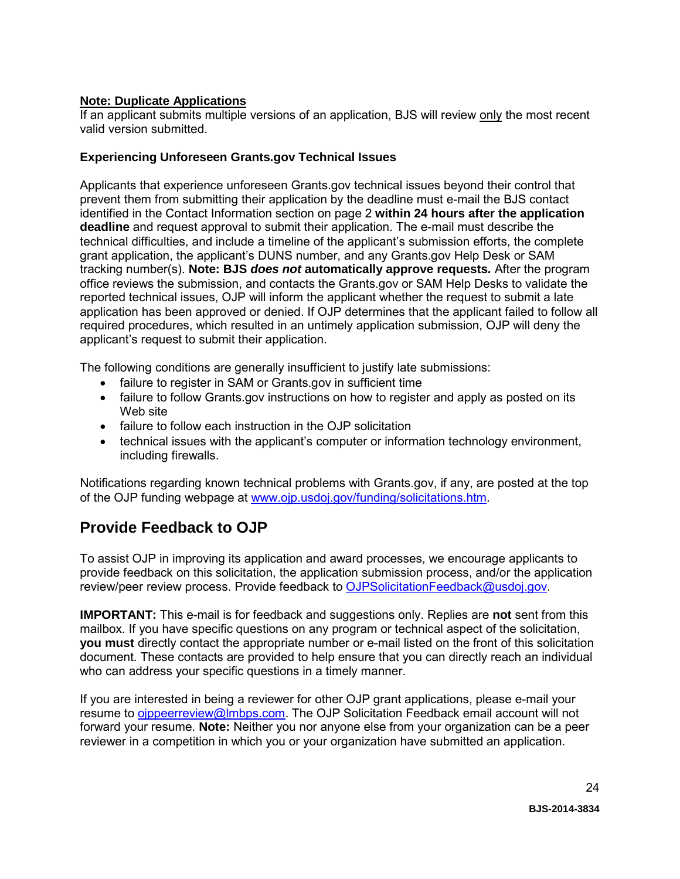#### **Note: Duplicate Applications**

If an applicant submits multiple versions of an application, BJS will review only the most recent valid version submitted.

#### **Experiencing Unforeseen Grants.gov Technical Issues**

Applicants that experience unforeseen Grants.gov technical issues beyond their control that prevent them from submitting their application by the deadline must e-mail the BJS contact identified in the Contact Information section on page 2 **within 24 hours after the application deadline** and request approval to submit their application. The e-mail must describe the technical difficulties, and include a timeline of the applicant's submission efforts, the complete grant application, the applicant's DUNS number, and any Grants.gov Help Desk or SAM tracking number(s). **Note: BJS** *does not* **automatically approve requests***.* After the program office reviews the submission, and contacts the Grants.gov or SAM Help Desks to validate the reported technical issues, OJP will inform the applicant whether the request to submit a late application has been approved or denied. If OJP determines that the applicant failed to follow all required procedures, which resulted in an untimely application submission, OJP will deny the applicant's request to submit their application.

The following conditions are generally insufficient to justify late submissions:

- failure to register in SAM or Grants.gov in sufficient time
- failure to follow Grants.gov instructions on how to register and apply as posted on its Web site
- failure to follow each instruction in the OJP solicitation
- technical issues with the applicant's computer or information technology environment, including firewalls.

Notifications regarding known technical problems with Grants.gov, if any, are posted at the top of the OJP funding webpage at [www.ojp.usdoj.gov/funding/solicitations.htm.](http://www.ojp.gov/funding/solicitations.htm)

### <span id="page-23-0"></span>**Provide Feedback to OJP**

To assist OJP in improving its application and award processes, we encourage applicants to provide feedback on this solicitation, the application submission process, and/or the application review/peer review process. Provide feedback to [OJPSolicitationFeedback@usdoj.gov.](mailto:OJPSolicitationFeedback@usdoj.gov)

**IMPORTANT:** This e-mail is for feedback and suggestions only. Replies are **not** sent from this mailbox. If you have specific questions on any program or technical aspect of the solicitation, **you must** directly contact the appropriate number or e-mail listed on the front of this solicitation document. These contacts are provided to help ensure that you can directly reach an individual who can address your specific questions in a timely manner.

If you are interested in being a reviewer for other OJP grant applications, please e-mail your resume to [ojppeerreview@lmbps.com.](mailto:ojppeerreview@lmbps.com) The OJP Solicitation Feedback email account will not forward your resume. **Note:** Neither you nor anyone else from your organization can be a peer reviewer in a competition in which you or your organization have submitted an application.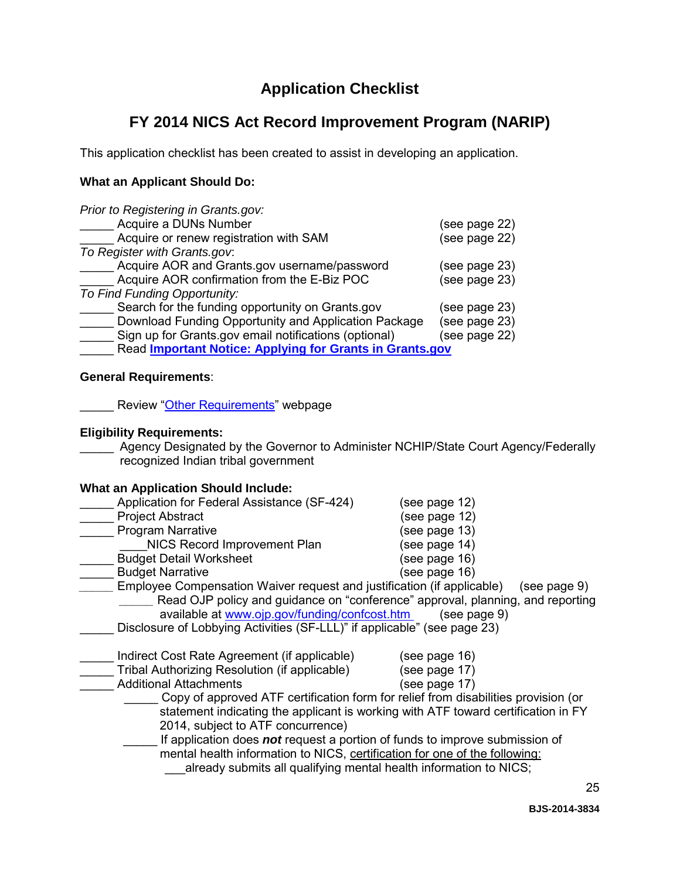### **Application Checklist**

### <span id="page-24-0"></span>**FY 2014 NICS Act Record Improvement Program (NARIP)**

This application checklist has been created to assist in developing an application.

#### **What an Applicant Should Do:**

| Prior to Registering in Grants.gov:                             |               |
|-----------------------------------------------------------------|---------------|
| Acquire a DUNs Number                                           | (see page 22) |
| Acquire or renew registration with SAM                          | (see page 22) |
| To Register with Grants.gov.                                    |               |
| Acquire AOR and Grants.gov username/password                    | (see page 23) |
| Acquire AOR confirmation from the E-Biz POC                     | (see page 23) |
| To Find Funding Opportunity:                                    |               |
| Search for the funding opportunity on Grants.gov                | (see page 23) |
| Download Funding Opportunity and Application Package            | (see page 23) |
| Sign up for Grants.gov email notifications (optional)           | (see page 22) |
| Read <b>Important Notice: Applying for Grants in Grants.gov</b> |               |

#### **General Requirements**:

L Review ["Other Requirements"](http://www.ojp.usdoj.gov/funding/other_requirements.htm) webpage

#### **Eligibility Requirements:**

Agency Designated by the Governor to Administer NCHIP/State Court Agency/Federally recognized Indian tribal government

#### **What an Application Should Include:**

| Application for Federal Assistance (SF-424)                                        | (see page 12)                                                                      |
|------------------------------------------------------------------------------------|------------------------------------------------------------------------------------|
| <b>Project Abstract</b>                                                            | (see page 12)                                                                      |
| <b>Program Narrative</b>                                                           | (see page 13)                                                                      |
| NICS Record Improvement Plan                                                       | (see page 14)                                                                      |
| <b>Budget Detail Worksheet</b>                                                     | (see page 16)                                                                      |
| <b>Budget Narrative</b>                                                            | (see page 16)                                                                      |
| Employee Compensation Waiver request and justification (if applicable)             | (see page 9)                                                                       |
|                                                                                    | Read OJP policy and guidance on "conference" approval, planning, and reporting     |
| available at www.ojp.gov/funding/confcost.htm                                      | (see page 9)                                                                       |
| Disclosure of Lobbying Activities (SF-LLL)" if applicable" (see page 23)           |                                                                                    |
|                                                                                    |                                                                                    |
| Indirect Cost Rate Agreement (if applicable)                                       | (see page 16)                                                                      |
| Tribal Authorizing Resolution (if applicable)                                      | (see page 17)                                                                      |
| <b>Additional Attachments</b>                                                      | (see page 17)                                                                      |
|                                                                                    | Copy of approved ATF certification form for relief from disabilities provision (or |
|                                                                                    | statement indicating the applicant is working with ATF toward certification in FY  |
| 2014, subject to ATF concurrence)                                                  |                                                                                    |
| If application does <b>not</b> request a portion of funds to improve submission of |                                                                                    |
| mental health information to NICS, certification for one of the following:         |                                                                                    |
| already submits all qualifying mental health information to NICS;                  |                                                                                    |
|                                                                                    |                                                                                    |